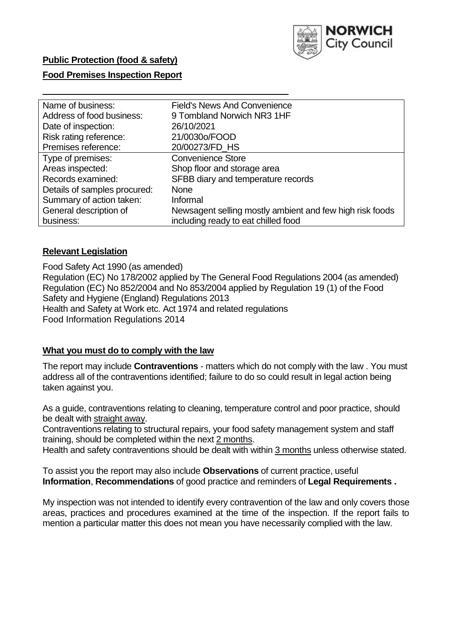

## **Food Premises Inspection Report**

| Name of business:            | <b>Field's News And Convenience</b>                               |  |  |  |  |
|------------------------------|-------------------------------------------------------------------|--|--|--|--|
| Address of food business:    | 9 Tombland Norwich NR3 1HF                                        |  |  |  |  |
| Date of inspection:          | 26/10/2021<br>21/0030o/FOOD                                       |  |  |  |  |
| Risk rating reference:       |                                                                   |  |  |  |  |
| Premises reference:          | 20/00273/FD HS                                                    |  |  |  |  |
| Type of premises:            | <b>Convenience Store</b>                                          |  |  |  |  |
| Areas inspected:             | Shop floor and storage area<br>SFBB diary and temperature records |  |  |  |  |
| Records examined:            |                                                                   |  |  |  |  |
| Details of samples procured: | <b>None</b>                                                       |  |  |  |  |
| Summary of action taken:     | Informal                                                          |  |  |  |  |
| General description of       | Newsagent selling mostly ambient and few high risk foods          |  |  |  |  |
| business:                    | including ready to eat chilled food                               |  |  |  |  |

## **Relevant Legislation**

 Food Safety Act 1990 (as amended) Regulation (EC) No 178/2002 applied by The General Food Regulations 2004 (as amended) Regulation (EC) No 852/2004 and No 853/2004 applied by Regulation 19 (1) of the Food Safety and Hygiene (England) Regulations 2013 Health and Safety at Work etc. Act 1974 and related regulations Food Information Regulations 2014

## **What you must do to comply with the law**

 The report may include **Contraventions** - matters which do not comply with the law . You must address all of the contraventions identified; failure to do so could result in legal action being taken against you.

 As a guide, contraventions relating to cleaning, temperature control and poor practice, should be dealt with straight away.

 Contraventions relating to structural repairs, your food safety management system and staff training, should be completed within the next 2 months.

Health and safety contraventions should be dealt with within 3 months unless otherwise stated.

 To assist you the report may also include **Observations** of current practice, useful **Information**, **Recommendations** of good practice and reminders of **Legal Requirements .** 

 My inspection was not intended to identify every contravention of the law and only covers those areas, practices and procedures examined at the time of the inspection. If the report fails to mention a particular matter this does not mean you have necessarily complied with the law.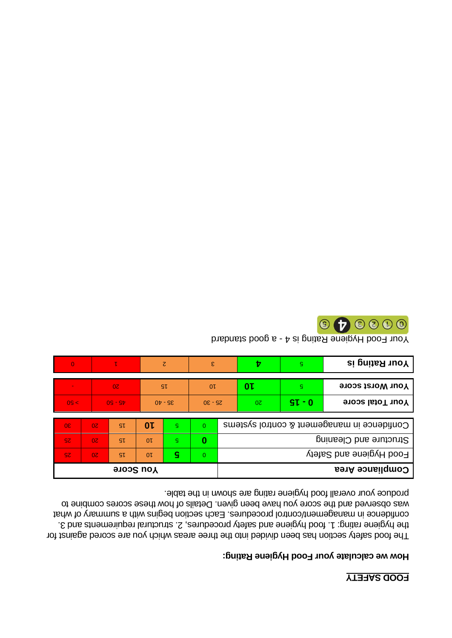# **YTERAS QOOR**

## How we calculate your Food Hygiene Rating:

produce your overall food hygiene rating are shown in the table. was observed and the score you have been given. Details of how these scores combine to confidence in management/control procedures. Each section begins with a summary of what the hygiene rating: 1. food hygiene and safety procedures, 2. structural requirements and 3. The food safety section has been divided into the three areas which you are scored against for

| <b>Your Worst score</b>                    | g.       | 0 L             |    | 0 <sup>L</sup>   | <b>SL</b> |                | 0 <sub>z</sub> |                |     |  |
|--------------------------------------------|----------|-----------------|----|------------------|-----------|----------------|----------------|----------------|-----|--|
| <b>Your Total score</b>                    | $SL - 0$ | 0Z<br>$0E - 9Z$ |    |                  | $95 - 40$ |                | $09 - 9b$      |                | 09< |  |
|                                            |          |                 |    |                  |           |                |                |                |     |  |
| Confidence in management & control systems |          | $\mathbf{0}$    | g. | 0 L              | <b>S</b>  | 0 <sup>z</sup> | 0 <sup>o</sup> |                |     |  |
| Structure and Cleaning                     |          | 0               | G. | 0 <sup>L</sup>   | SL        | 0 <sub>z</sub> | SZ.            |                |     |  |
| Food Hygiene and Safety                    |          |                 |    | 0                | S         | 0 <sub>k</sub> | SL             | 0 <sub>z</sub> | SZ. |  |
| Compliance Area                            |          |                 |    | <b>You Score</b> |           |                |                |                |     |  |

 $\epsilon$ 

 $\zeta$ 

 $\overline{0}$ 

 $\mathbf{L}$ 

 $\boldsymbol{v}$ 

Your Food Hygiene Rating is 4 - a good standard

 $\mathsf{S}$ 



**Your Rating is**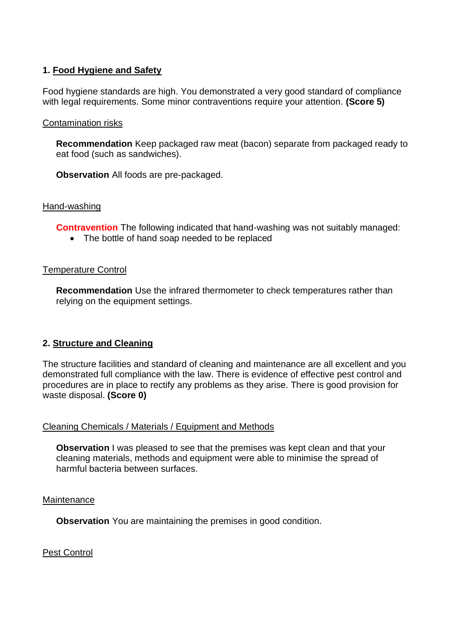## **1. Food Hygiene and Safety**

Food hygiene standards are high. You demonstrated a very good standard of compliance with legal requirements. Some minor contraventions require your attention. **(Score 5)** 

## Contamination risks

**Recommendation** Keep packaged raw meat (bacon) separate from packaged ready to eat food (such as sandwiches).

**Observation** All foods are pre-packaged.

#### Hand-washing

**Contravention** The following indicated that hand-washing was not suitably managed:

• The bottle of hand soap needed to be replaced

#### Temperature Control

**Recommendation** Use the infrared thermometer to check temperatures rather than relying on the equipment settings.

## **2. Structure and Cleaning**

The structure facilities and standard of cleaning and maintenance are all excellent and you demonstrated full compliance with the law. There is evidence of effective pest control and procedures are in place to rectify any problems as they arise. There is good provision for waste disposal. **(Score 0)** 

#### Cleaning Chemicals / Materials / Equipment and Methods

**Observation** I was pleased to see that the premises was kept clean and that your cleaning materials, methods and equipment were able to minimise the spread of harmful bacteria between surfaces.

#### **Maintenance**

**Observation** You are maintaining the premises in good condition.

Pest Control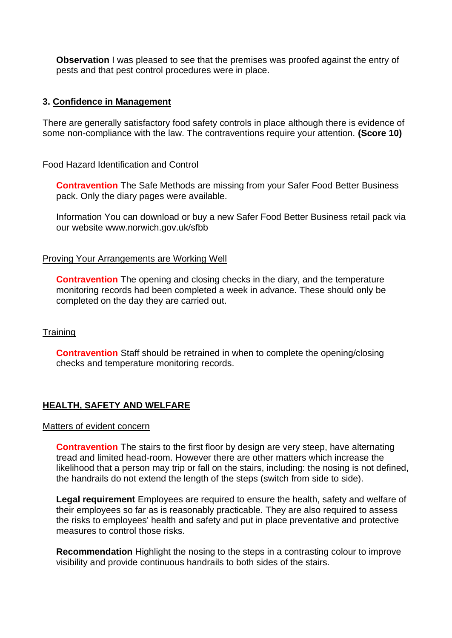**Observation** I was pleased to see that the premises was proofed against the entry of pests and that pest control procedures were in place.

#### **3. Confidence in Management**

There are generally satisfactory food safety controls in place although there is evidence of some non-compliance with the law. The contraventions require your attention. **(Score 10)** 

#### Food Hazard Identification and Control

**Contravention** The Safe Methods are missing from your Safer Food Better Business pack. Only the diary pages were available.

Information You can download or buy a new Safer Food Better Business retail pack via our website<www.norwich.gov.uk/sfbb>

#### Proving Your Arrangements are Working Well

completed on the day they are carried out.<br>Training **Contravention** The opening and closing checks in the diary, and the temperature monitoring records had been completed a week in advance. These should only be

**Contravention** Staff should be retrained in when to complete the opening/closing checks and temperature monitoring records.

## **HEALTH, SAFETY AND WELFARE**

#### Matters of evident concern

**Contravention** The stairs to the first floor by design are very steep, have alternating tread and limited head-room. However there are other matters which increase the likelihood that a person may trip or fall on the stairs, including: the nosing is not defined, the handrails do not extend the length of the steps (switch from side to side).

**Legal requirement** Employees are required to ensure the health, safety and welfare of their employees so far as is reasonably practicable. They are also required to assess the risks to employees' health and safety and put in place preventative and protective measures to control those risks.

**Recommendation** Highlight the nosing to the steps in a contrasting colour to improve visibility and provide continuous handrails to both sides of the stairs.